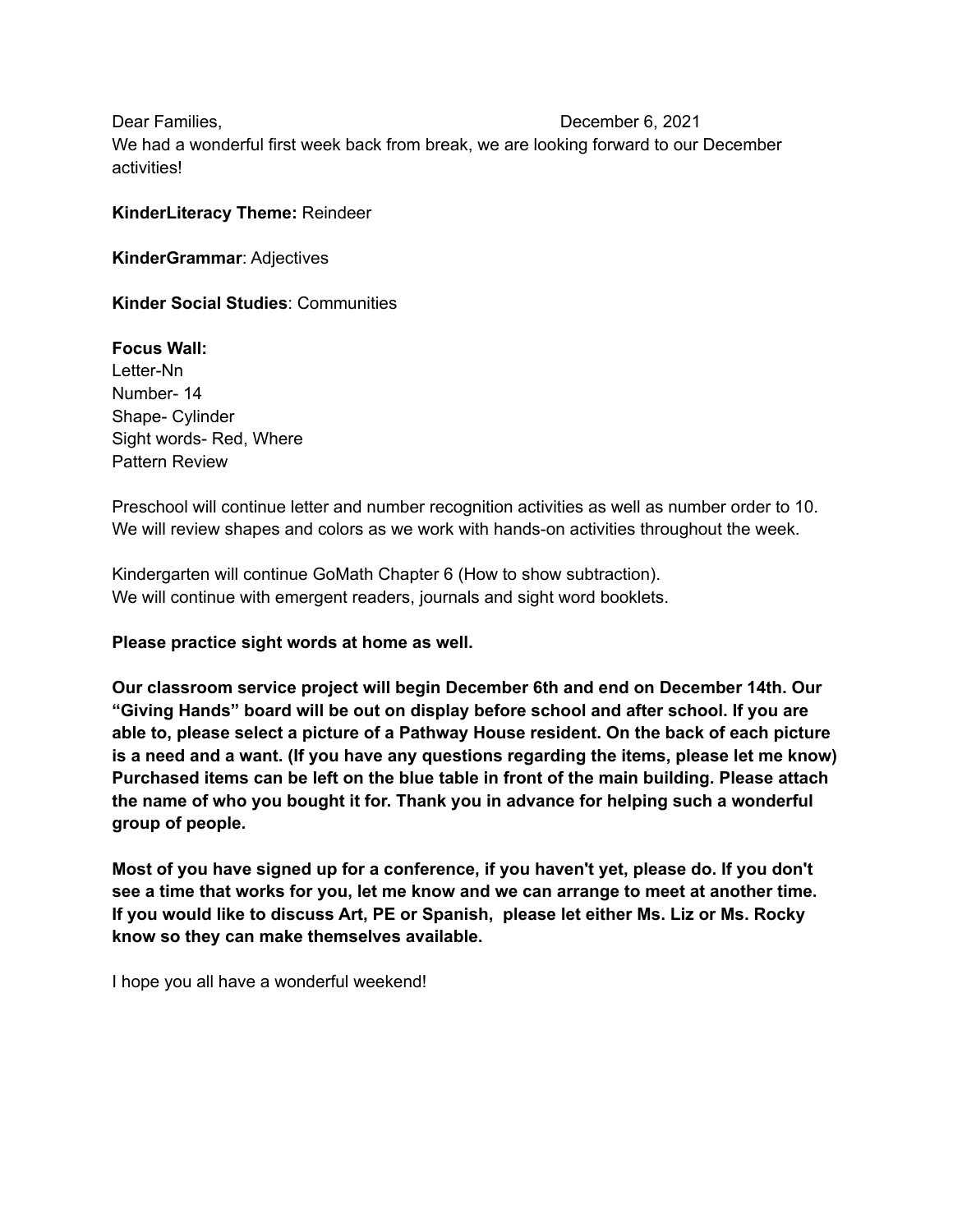Dear Families, December 6, 2021 We had a wonderful first week back from break, we are looking forward to our December activities!

## **KinderLiteracy Theme:** Reindeer

**KinderGrammar**: Adjectives

**Kinder Social Studies**: Communities

**Focus Wall:** Letter-Nn Number- 14 Shape- Cylinder Sight words- Red, Where Pattern Review

Preschool will continue letter and number recognition activities as well as number order to 10. We will review shapes and colors as we work with hands-on activities throughout the week.

Kindergarten will continue GoMath Chapter 6 (How to show subtraction). We will continue with emergent readers, journals and sight word booklets.

**Please practice sight words at home as well.**

**Our classroom service project will begin December 6th and end on December 14th. Our "Giving Hands" board will be out on display before school and after school. If you are able to, please select a picture of a Pathway House resident. On the back of each picture is a need and a want. (If you have any questions regarding the items, please let me know) Purchased items can be left on the blue table in front of the main building. Please attach the name of who you bought it for. Thank you in advance for helping such a wonderful group of people.**

**Most of you have signed up for a conference, if you haven't yet, please do. If you don't see a time that works for you, let me know and we can arrange to meet at another time. If you would like to discuss Art, PE or Spanish, please let either Ms. Liz or Ms. Rocky know so they can make themselves available.**

I hope you all have a wonderful weekend!